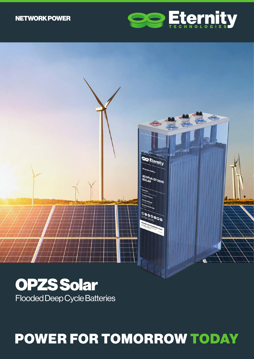## NETWORK POWER





Flooded Deep Cycle Batteries

# POWER FOR TOMORROW TODAY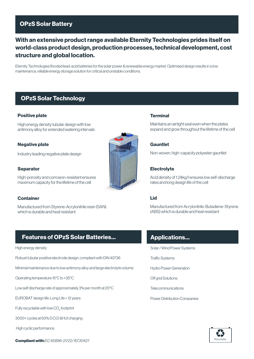## OPzS Solar Battery

## With an extensive product range available Eternity Technologies prides itself on world-class product design, production processes, technical development, cost structure and global location.

Eternity Technologies flooded lead-acid batteries for the solar power & renewable energy market. Optimised design results in a low maintenance, reliable energy storage solution for critical and unstable conditions.

## OPzS Solar Technology

#### Positive plate

High energy density tubular design with low antimony alloy for extended watering intervals

#### Negative plate

Industry leading negative plate design

#### **Separator**

High-porosity and corrosion-resistant ensures maximum capacity for the lifetime of the cell

#### **Container**

Manufactured from Styrene-Acrylonitrile resin (SAN) which is durable and heat resistant

## Features of OPzS Solar Batteries...

#### High energy density

Robust tubular positive electrode design, compliant with DIN 40736

Minimal maintenance due to low antimony alloy and large electrolyte volume

Operating temperature 15°C to +35°C

Low self discharge rate of approximately 3% per month at 20°C

EUROBAT design life: Long Life > 12 years

Fully recyclable with low  $\mathrm{CO}_2^{}$  footprint

3000+ cycles at 60% D.O.D @ IUI charging

High cyclic performance

**Compliant with: EC 60896-21/22/ IEC61427** 



#### **Terminal**

Maintains an airtight seal even when the plates expand and grow throughout the lifetime of the cell

#### Gauntlet

Non-woven, high-capacity polyester gauntlet

## **Electrolyte**

Acid density of 1.24kg/l ensures low self-discharge rates and long design life of the cell

## Lid

Manufactured from Acrylonitrile-Butadiene-Styrene (ABS) which is durable and heat resistant

## Applications...

- Solar / Wind Power Systems
- Traffic Systems
- Hydro Power Generation
- Off grid Solutions
- **Telecommunications**
- Power Distribution Companies

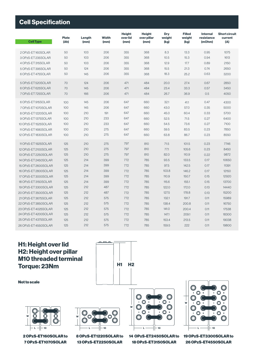| <b>Cell Specification</b> |                      |                |                      |                                   |                                      |                       |                                 |                                         |                                        |  |
|---------------------------|----------------------|----------------|----------------------|-----------------------------------|--------------------------------------|-----------------------|---------------------------------|-----------------------------------------|----------------------------------------|--|
| <b>Cell Type</b>          | <b>Plate</b><br>(Ah) | Length<br>(mm) | <b>Width</b><br>(mm) | <b>Height</b><br>over lid<br>(mm) | <b>Height</b><br>over pillar<br>(mm) | Dry<br>weight<br>(kg) | <b>Filled</b><br>weight<br>(kg) | <b>Internal</b><br>resistance<br>(mOhm) | <b>Short circuit</b><br>current<br>(A) |  |
| 2 OPzS-ET160SOLAR         | 50                   | 103            | 206                  | 355                               | 368                                  | 8.3                   | 13.3                            | 0.95                                    | 1075                                   |  |
| 3 OPzS-ET 235SOLAR        | 50                   | 103            | 206                  | 355                               | 368                                  | 10.5                  | 15.3                            | 0.94                                    | 1613                                   |  |
| 4 OPzS-ET315SOLAR         | 50                   | 103            | 206                  | 355                               | 368                                  | 12.9                  | 17.7                            | 0.89                                    | 2150                                   |  |
| 5 OPzS-ET 395SOLAR        | 50                   | 124            | 206                  | 355                               | 368                                  | 15.5                  | 21.3                            | 0.74                                    | 2650                                   |  |
| 6 OPzS-ET 475SOLAR        | 50                   | 145            | 206                  | 355                               | 368                                  | 18.3                  | 25.2                            | 0.63                                    | 3200                                   |  |
| 5 OPzS-ET 520SOLAR        | 70                   | 124            | 206                  | 471                               | 484                                  | 20.0                  | 27.4                            | 0.67                                    | 2850                                   |  |
| 6 OPzS-ET 625SOLAR        | 70                   | 145            | 206                  | 471                               | 484                                  | 23.4                  | 33.3                            | 0.57                                    | 3450                                   |  |
| 7 OPzS-ET 725SOLAR        | 70                   | 166            | 206                  | 471                               | 484                                  | 26.7                  | 36.9                            | 0.5                                     | 4050                                   |  |
| 6 OPzS-ET 915SOLAR        | 100                  | 145            | 206                  | 647                               | 660                                  | 32.1                  | 41.1                            | 0.47                                    | 4300                                   |  |
| 7 OPzS-ET1070SOLAR        | 100                  | 145            | 206                  | 647                               | 660                                  | 43.0                  | 57.0                            | 0.35                                    | 5000                                   |  |
| 8 OPzS-ET1220SOLAR        | 100                  | 210            | 191                  | 647                               | 660                                  | 45.0                  | 60.4                            | 0.33                                    | 5700                                   |  |
| 9 OPzS-ET1375SOLAR        | 100                  | 210            | 233                  | 647                               | 660                                  | 52.5                  | 71.5                            | 0.27                                    | 6400                                   |  |
| 10 OPzS-ET1525SOLAR       | 100                  | 210            | 233                  | 647                               | 660                                  | 54.5                  | 73.6                            | 0.27                                    | 7100                                   |  |
| 11 OPzS-ET 1680 SOLAR     | 100                  | 210            | 275                  | 647                               | 660                                  | 59.5                  | 83.5                            | 0.23                                    | 7850                                   |  |
| 12 OPzS-ET1830SOLAR       | 100                  | 210            | 275                  | 647                               | 660                                  | 63.8                  | 86.7                            | 0.23                                    | 8550                                   |  |
| 11 OPzS-ET 1925SOLAR      | 125                  | 210            | 275                  | 797                               | 810                                  | 71.5                  | 101.5                           | 0.23                                    | 7746                                   |  |
| 12 OPzS-ET 2100SOLAR      | 125                  | 210            | 275                  | 797                               | 810                                  | 77.1                  | 105.6                           | 0.23                                    | 8450                                   |  |
| 13 OPzS-ET 2250SOLAR      | 125                  | 210            | 275                  | 797                               | 810                                  | 82.0                  | 110.9                           | 0.22                                    | 9872                                   |  |
| 14 OPzS-ET 2450SOLAR      | 125                  | 214            | 399                  | 772                               | 785                                  | 93.5                  | 133.5                           | 0.17                                    | 10650                                  |  |
| 15 OPzS-ET 2600SOLAR      | 125                  | 214            | 399                  | 772                               | 785                                  | 97.5                  | 142.5                           | 0.17                                    | 11391                                  |  |
| 16 OPzS-ET 2800SOLAR      | 125                  | 214            | 399                  | 772                               | 785                                  | 103.8                 | 146.2                           | 0.17                                    | 12150                                  |  |
| 17 OPzS-ET 3000SOLAR      | 125                  | 214            | 399                  | 772                               | 785                                  | 110.9                 | 150.7                           | 0.15                                    | 12920                                  |  |
| 18 OPzS-ET 3150SOLAR      | 125                  | 214            | 399                  | 772                               | 785                                  | 115.6                 | 155.1                           | 0.15                                    | 13700                                  |  |
| 19 OPzS-ET 3300SOLAR      | 125                  | 212            | 487                  | 772                               | 785                                  | 122.0                 | 172.0                           | 0.13                                    | 14440                                  |  |
| 20 OPzS-ET 3500SOLAR      | 125                  | 212            | 487                  | 772                               | 785                                  | 127.5                 | 178.8                           | 0.13                                    | 15200                                  |  |
| 21 OPzS-ET 3675SOLAR      | 125                  | 212            | 575                  | 772                               | 785                                  | 132.1                 | 191.7                           | 0.11                                    | 15989                                  |  |
| 22 OPzS-ET 3850SOLAR      | 125                  | 212            | 575                  | 772                               | 785                                  | 138.4                 | 200.8                           | 0.11                                    | 16750                                  |  |
| 23 OPzS-ET 4025SOLAR      | 125                  | 212            | 575                  | 772                               | 785                                  | 141.0                 | 200.4                           | 0.11                                    | 17538                                  |  |
| 24 OPzS-ET 4200SOLAR      | 125                  | 212            | 575                  | 772                               | 785                                  | 147.1                 | 209.1                           | 0.11                                    | 18300                                  |  |
| 25 OPzS-ET 4375SOLAR      | 125                  | 212            | 575                  | 772                               | 785                                  | 153.4                 | 213.5                           | 0.11                                    | 19038                                  |  |

## H1: Height over lid H2: Height over pillar M10 threaded terminal Torque:  $23Nm$   $H1 H2$

Not to scale

26 OPzS-ET 4550SOLAR



772

14 OPzS-ET2450SOLAR to 19 OPzS-ET3300SOLAR to 18 OPzS-ET3150SOLAR

159.5

785

222

W

0.11

19800

26 OPzS-ET4550SOLAR



2 OPzS-ET160SOLAR to 7 OPzS-ET1070SOLAR

8 OPzS-ET1220SOLAR to 13 OPzS-ET2250SOLAR

212

125

575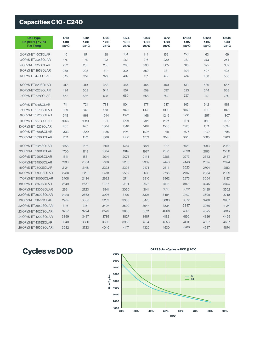## Capacities C10 - C240

| <b>Cell Type</b><br><b>Ue (100%) / VPC</b><br><b>Ref Temp</b> | <b>C10</b><br>1.80<br>$25^{\circ}$ C | C <sub>12</sub><br>1.80<br>25°C | <b>C20</b><br>1.80<br>$25^{\circ}$ C | C <sub>24</sub><br>1.80<br>$25^{\circ}$ C | C48<br>1.80<br>$25^{\circ}$ C | <b>C72</b><br>1.80<br>$25^{\circ}$ C | <b>C100</b><br>1.85<br>$25^{\circ}$ C | C120<br>1.85<br>$25^{\circ}$ C | C240<br>1.85<br>$25^{\circ}$ C |
|---------------------------------------------------------------|--------------------------------------|---------------------------------|--------------------------------------|-------------------------------------------|-------------------------------|--------------------------------------|---------------------------------------|--------------------------------|--------------------------------|
| 2 OPzS-ET160SOLAR                                             | 116                                  | 117                             | 128                                  | 134                                       | 144                           | 152                                  | 158                                   | 163                            | 169                            |
| 3 OPzS-ET 235SOLAR                                            | 174                                  | 176                             | 192                                  | 201                                       | 216                           | 229                                  | 237                                   | 244                            | 254                            |
| 4 OPzS-ET 315SOLAR                                            | 232                                  | 235                             | 255                                  | 268                                       | 288                           | 305                                  | 316                                   | 325                            | 339                            |
| 5 OPzS-ET 395SOLAR                                            | 288                                  | 293                             | 317                                  | 335                                       | 359                           | 381                                  | 394                                   | 407                            | 423                            |
| 6 OPzS-ET 475SOLAR                                            | 345                                  | 351                             | 379                                  | 402                                       | 431                           | 457                                  | 474                                   | 488                            | 508                            |
| 5 OPzS-ET 520SOLAR                                            | 412                                  | 419                             | 453                                  | 464                                       | 465                           | 499                                  | 519                                   | 536                            | 557                            |
| 6 OPzS-ET 625SOLAR                                            | 494                                  | 503                             | 544                                  | 557                                       | 559                           | 597                                  | 623                                   | 644                            | 668                            |
| 7 OPzS-ET 725SOLAR                                            | 577                                  | 586                             | 637                                  | 650                                       | 658                           | 697                                  | 727                                   | 747                            | 780                            |
| 6 OPzS-ET 915SOLAR                                            | 711                                  | 721                             | 783                                  | 804                                       | 877                           | 937                                  | 915                                   | 942                            | 981                            |
| 7 OPzS-ET1070SOLAR                                            | 829                                  | 843                             | 913                                  | 940                                       | 1025                          | 1096                                 | 1069                                  | 1102                           | 1146                           |
| 8 OPzS-ET1220SOLAR                                            | 948                                  | 961                             | 1044                                 | 1072                                      | 1168                          | 1249                                 | 1218                                  | 1257                           | 1307                           |
| 9 OPzS-ET1375SOLAR                                            | 1066                                 | 1080                            | 1174                                 | 1206                                      | 1314                          | 1406                                 | 1371                                  | 1416                           | 1470                           |
| 10 OPzS-ET1525SOLAR                                           | 1185                                 | 1201                            | 1304                                 | 1340                                      | 1461                          | 1563                                 | 1523                                  | 1571                           | 1634                           |
| 11 OPzS-ET 1680 SOLAR                                         | 1303                                 | 1320                            | 1435                                 | 1474                                      | 1607                          | 1718                                 | 1676                                  | 1730                           | 1796                           |
| 12 OPzS-ET1830SOLAR                                           | 1421                                 | 1441                            | 1566                                 | 1608                                      | 1753                          | 1875                                 | 1828                                  | 1885                           | 1960                           |
| 11 OPzS-ET 1925SOLAR                                          | 1558                                 | 1575                            | 1709                                 | 1754                                      | 1821                          | 1917                                 | 1923                                  | 1983                           | 2062                           |
| 12 OPzS-ET 2100SOLAR                                          | 1700                                 | 1718                            | 1864                                 | 1914                                      | 1987                          | 2091                                 | 2098                                  | 2163                           | 2250                           |
| 13 OPzS-ET2250SOLAR                                           | 1841                                 | 1861                            | 2014                                 | 2074                                      | 2144                          | 2266                                 | 2273                                  | 2343                           | 2437                           |
| 14 OPzS-ET2450SOLAR                                           | 1983                                 | 2004                            | 2168                                 | 2233                                      | 2309                          | 2440                                 | 2448                                  | 2524                           | 2624                           |
| 15 OPzS-ET2600SOLAR                                           | 2124                                 | 2148                            | 2323                                 | 2393                                      | 2474                          | 2614                                 | 2623                                  | 2704                           | 2812                           |
| 16 OPzS-ET 2800SOLAR                                          | 2266                                 | 2291                            | 2478                                 | 2552                                      | 2639                          | 2788                                 | 2797                                  | 2884                           | 2999                           |
| 17 OPzS-ET 3000SOLAR                                          | 2408                                 | 2434                            | 2632                                 | 2711                                      | 2810                          | 2962                                 | 2973                                  | 3064                           | 3187                           |
| 18 OPzS-ET 3150SOLAR                                          | 2549                                 | 2577                            | 2787                                 | 2871                                      | 2976                          | 3136                                 | 3148                                  | 3245                           | 3374                           |
| 19 OPzS-ET3300SOLAR                                           | 2691                                 | 2720                            | 2941                                 | 3030                                      | 3141                          | 3310                                 | 3322                                  | 3425                           | 3562                           |
| 20 OPzS-ET 3500SOLAR                                          | 2833                                 | 2863                            | 3096                                 | 3190                                      | 3306                          | 3484                                 | 3497                                  | 3605                           | 3749                           |
| 21 OPzS-ET 3675SOLAR                                          | 2974                                 | 3008                            | 3252                                 | 3350                                      | 3478                          | 3660                                 | 3672                                  | 3786                           | 3937                           |
| 22 OPzS-ET 3850SOLAR                                          | 3116                                 | 3151                            | 3407                                 | 3509                                      | 3644                          | 3834                                 | 3847                                  | 3966                           | 4124                           |
| 23 OPzS-ET 4025SOLAR                                          | 3257                                 | 3294                            | 3579                                 | 3668                                      | 3821                          | 4008                                 | 4021                                  | 4025                           | 4186                           |
| 24 OPzS-ET 4200SOLAR                                          | 3399                                 | 3437                            | 3735                                 | 3827                                      | 3987                          | 4182                                 | 4196                                  | 4326                           | 4499                           |
| 25 OPzS-ET 4375SOLAR                                          | 3540                                 | 3580                            | 3890                                 | 3988                                      | 4154                          | 4356                                 | 4104                                  | 4507                           | 4687                           |
| 26 OPzS-ET 4550SOLAR                                          | 3682                                 | 3723                            | 4046                                 | 4147                                      | 4320                          | 4530                                 | 4268                                  | 4687                           | 4874                           |